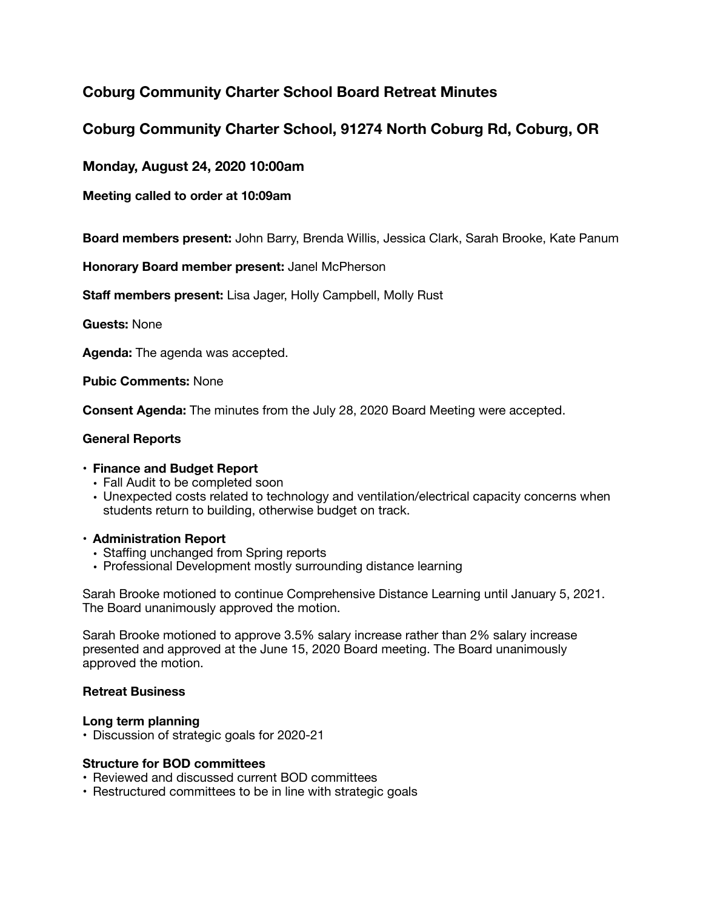# **Coburg Community Charter School Board Retreat Minutes**

# **Coburg Community Charter School, 91274 North Coburg Rd, Coburg, OR**

**Monday, August 24, 2020 10:00am** 

**Meeting called to order at 10:09am**

**Board members present:** John Barry, Brenda Willis, Jessica Clark, Sarah Brooke, Kate Panum

**Honorary Board member present:** Janel McPherson

**Staff members present:** Lisa Jager, Holly Campbell, Molly Rust

**Guests:** None

**Agenda:** The agenda was accepted.

**Pubic Comments:** None

**Consent Agenda:** The minutes from the July 28, 2020 Board Meeting were accepted.

## **General Reports**

### **• Finance and Budget Report**

- Fall Audit to be completed soon
- Unexpected costs related to technology and ventilation/electrical capacity concerns when students return to building, otherwise budget on track.

### **• Administration Report**

- Staffing unchanged from Spring reports
- Professional Development mostly surrounding distance learning

Sarah Brooke motioned to continue Comprehensive Distance Learning until January 5, 2021. The Board unanimously approved the motion.

Sarah Brooke motioned to approve 3.5% salary increase rather than 2% salary increase presented and approved at the June 15, 2020 Board meeting. The Board unanimously approved the motion.

### **Retreat Business**

### **Long term planning**

• Discussion of strategic goals for 2020-21

### **Structure for BOD committees**

- Reviewed and discussed current BOD committees
- Restructured committees to be in line with strategic goals